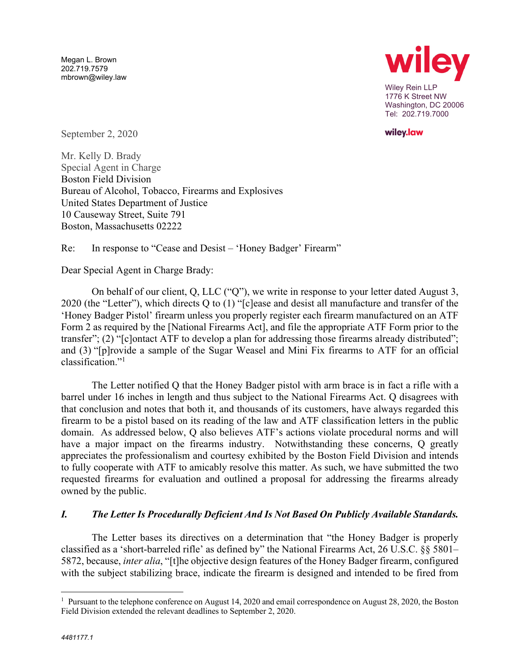Megan L. Brown 202.719.7579 mbrown@wiley.law



wiley.law

September 2, 2020

Mr. Kelly D. Brady Special Agent in Charge Boston Field Division Bureau of Alcohol, Tobacco, Firearms and Explosives United States Department of Justice 10 Causeway Street, Suite 791 Boston, Massachusetts 02222

Re: In response to "Cease and Desist – 'Honey Badger' Firearm"

Dear Special Agent in Charge Brady:

On behalf of our client, Q, LLC ("Q"), we write in response to your letter dated August 3, 2020 (the "Letter"), which directs Q to (1) "[c]ease and desist all manufacture and transfer of the 'Honey Badger Pistol' firearm unless you properly register each firearm manufactured on an ATF Form 2 as required by the [National Firearms Act], and file the appropriate ATF Form prior to the transfer"; (2) "[c]ontact ATF to develop a plan for addressing those firearms already distributed"; and (3) "[p]rovide a sample of the Sugar Weasel and Mini Fix firearms to ATF for an official classification."1

The Letter notified Q that the Honey Badger pistol with arm brace is in fact a rifle with a barrel under 16 inches in length and thus subject to the National Firearms Act. Q disagrees with that conclusion and notes that both it, and thousands of its customers, have always regarded this firearm to be a pistol based on its reading of the law and ATF classification letters in the public domain. As addressed below, Q also believes ATF's actions violate procedural norms and will have a major impact on the firearms industry. Notwithstanding these concerns, Q greatly appreciates the professionalism and courtesy exhibited by the Boston Field Division and intends to fully cooperate with ATF to amicably resolve this matter. As such, we have submitted the two requested firearms for evaluation and outlined a proposal for addressing the firearms already owned by the public.

#### *I. The Letter Is Procedurally Deficient And Is Not Based On Publicly Available Standards.*

The Letter bases its directives on a determination that "the Honey Badger is properly classified as a 'short-barreled rifle' as defined by" the National Firearms Act, 26 U.S.C. §§ 5801– 5872, because, *inter alia*, "[t]he objective design features of the Honey Badger firearm, configured with the subject stabilizing brace, indicate the firearm is designed and intended to be fired from

<sup>&</sup>lt;sup>1</sup> Pursuant to the telephone conference on August 14, 2020 and email correspondence on August 28, 2020, the Boston Field Division extended the relevant deadlines to September 2, 2020.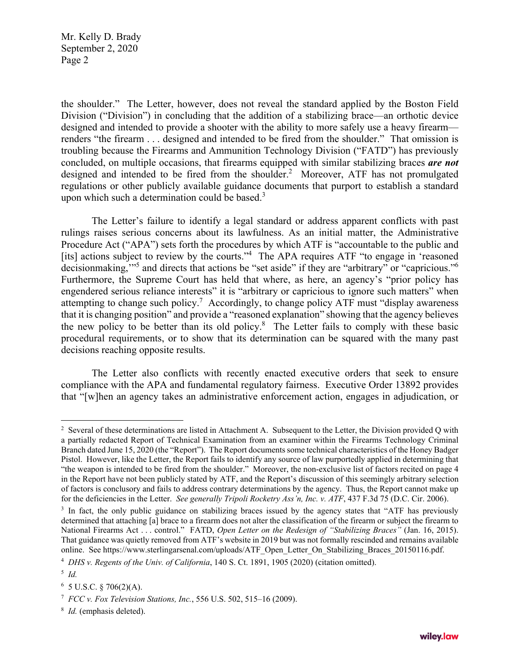the shoulder." The Letter, however, does not reveal the standard applied by the Boston Field Division ("Division") in concluding that the addition of a stabilizing brace—an orthotic device designed and intended to provide a shooter with the ability to more safely use a heavy firearm renders "the firearm . . . designed and intended to be fired from the shoulder." That omission is troubling because the Firearms and Ammunition Technology Division ("FATD") has previously concluded, on multiple occasions, that firearms equipped with similar stabilizing braces *are not* designed and intended to be fired from the shoulder.<sup>2</sup> Moreover, ATF has not promulgated regulations or other publicly available guidance documents that purport to establish a standard upon which such a determination could be based. $3$ 

The Letter's failure to identify a legal standard or address apparent conflicts with past rulings raises serious concerns about its lawfulness. As an initial matter, the Administrative Procedure Act ("APA") sets forth the procedures by which ATF is "accountable to the public and [its] actions subject to review by the courts."<sup>4</sup> The APA requires ATF "to engage in 'reasoned decisionmaking,"<sup>5</sup> and directs that actions be "set aside" if they are "arbitrary" or "capricious."<sup>6</sup> Furthermore, the Supreme Court has held that where, as here, an agency's "prior policy has engendered serious reliance interests" it is "arbitrary or capricious to ignore such matters" when attempting to change such policy.<sup>7</sup> Accordingly, to change policy ATF must "display awareness" that it is changing position" and provide a "reasoned explanation" showing that the agency believes the new policy to be better than its old policy. $8$  The Letter fails to comply with these basic procedural requirements, or to show that its determination can be squared with the many past decisions reaching opposite results.

The Letter also conflicts with recently enacted executive orders that seek to ensure compliance with the APA and fundamental regulatory fairness. Executive Order 13892 provides that "[w]hen an agency takes an administrative enforcement action, engages in adjudication, or

 $2$  Several of these determinations are listed in Attachment A. Subsequent to the Letter, the Division provided Q with a partially redacted Report of Technical Examination from an examiner within the Firearms Technology Criminal Branch dated June 15, 2020 (the "Report"). The Report documents some technical characteristics of the Honey Badger Pistol. However, like the Letter, the Report fails to identify any source of law purportedly applied in determining that "the weapon is intended to be fired from the shoulder." Moreover, the non-exclusive list of factors recited on page 4 in the Report have not been publicly stated by ATF, and the Report's discussion of this seemingly arbitrary selection of factors is conclusory and fails to address contrary determinations by the agency. Thus, the Report cannot make up for the deficiencies in the Letter. *See generally Tripoli Rocketry Ass'n, Inc. v. ATF*, 437 F.3d 75 (D.C. Cir. 2006).

<sup>&</sup>lt;sup>3</sup> In fact, the only public guidance on stabilizing braces issued by the agency states that "ATF has previously determined that attaching [a] brace to a firearm does not alter the classification of the firearm or subject the firearm to National Firearms Act . . . control." FATD, *Open Letter on the Redesign of "Stabilizing Braces"* (Jan. 16, 2015). That guidance was quietly removed from ATF's website in 2019 but was not formally rescinded and remains available online. See https://www.sterlingarsenal.com/uploads/ATF\_Open\_Letter\_On\_Stabilizing\_Braces\_20150116.pdf.

<sup>4</sup> *DHS v. Regents of the Univ. of California*, 140 S. Ct. 1891, 1905 (2020) (citation omitted).

<sup>5</sup> *Id.*

 $6$  5 U.S.C. § 706(2)(A).

<sup>7</sup> *FCC v. Fox Television Stations, Inc.*, 556 U.S. 502, 515–16 (2009).

<sup>8</sup> *Id.* (emphasis deleted).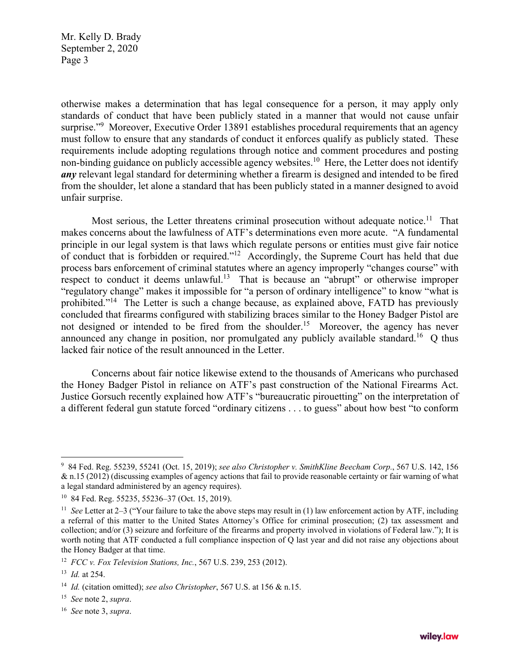otherwise makes a determination that has legal consequence for a person, it may apply only standards of conduct that have been publicly stated in a manner that would not cause unfair surprise."<sup>9</sup> Moreover, Executive Order 13891 establishes procedural requirements that an agency must follow to ensure that any standards of conduct it enforces qualify as publicly stated. These requirements include adopting regulations through notice and comment procedures and posting non-binding guidance on publicly accessible agency websites.<sup>10</sup> Here, the Letter does not identify *any* relevant legal standard for determining whether a firearm is designed and intended to be fired from the shoulder, let alone a standard that has been publicly stated in a manner designed to avoid unfair surprise.

Most serious, the Letter threatens criminal prosecution without adequate notice.<sup>11</sup> That makes concerns about the lawfulness of ATF's determinations even more acute. "A fundamental principle in our legal system is that laws which regulate persons or entities must give fair notice of conduct that is forbidden or required."<sup>12</sup> Accordingly, the Supreme Court has held that due process bars enforcement of criminal statutes where an agency improperly "changes course" with respect to conduct it deems unlawful.<sup>13</sup> That is because an "abrupt" or otherwise improper "regulatory change" makes it impossible for "a person of ordinary intelligence" to know "what is prohibited."<sup>14</sup> The Letter is such a change because, as explained above, FATD has previously concluded that firearms configured with stabilizing braces similar to the Honey Badger Pistol are not designed or intended to be fired from the shoulder.<sup>15</sup> Moreover, the agency has never announced any change in position, nor promulgated any publicly available standard.<sup>16</sup> Q thus lacked fair notice of the result announced in the Letter.

Concerns about fair notice likewise extend to the thousands of Americans who purchased the Honey Badger Pistol in reliance on ATF's past construction of the National Firearms Act. Justice Gorsuch recently explained how ATF's "bureaucratic pirouetting" on the interpretation of a different federal gun statute forced "ordinary citizens . . . to guess" about how best "to conform

<sup>9</sup> 84 Fed. Reg. 55239, 55241 (Oct. 15, 2019); *see also Christopher v. SmithKline Beecham Corp.*, 567 U.S. 142, 156 & n.15 (2012) (discussing examples of agency actions that fail to provide reasonable certainty or fair warning of what a legal standard administered by an agency requires).

<sup>10 84</sup> Fed. Reg. 55235, 55236–37 (Oct. 15, 2019).

<sup>11</sup> *See* Letter at 2–3 ("Your failure to take the above steps may result in (1) law enforcement action by ATF, including a referral of this matter to the United States Attorney's Office for criminal prosecution; (2) tax assessment and collection; and/or (3) seizure and forfeiture of the firearms and property involved in violations of Federal law."); It is worth noting that ATF conducted a full compliance inspection of Q last year and did not raise any objections about the Honey Badger at that time.

<sup>12</sup> *FCC v. Fox Television Stations, Inc.*, 567 U.S. 239, 253 (2012).

<sup>13</sup> *Id.* at 254.

<sup>14</sup> *Id.* (citation omitted); *see also Christopher*, 567 U.S. at 156 & n.15.

<sup>15</sup> *See* note 2, *supra*.

<sup>16</sup> *See* note 3, *supra*.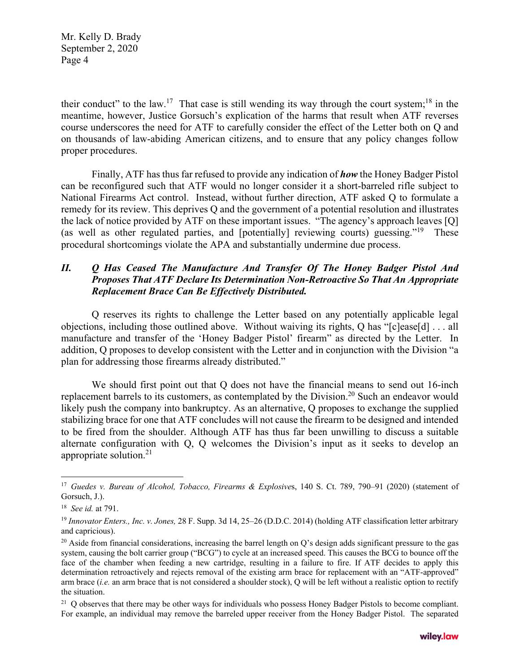their conduct" to the law.<sup>17</sup> That case is still wending its way through the court system;<sup>18</sup> in the meantime, however, Justice Gorsuch's explication of the harms that result when ATF reverses course underscores the need for ATF to carefully consider the effect of the Letter both on Q and on thousands of law-abiding American citizens, and to ensure that any policy changes follow proper procedures.

Finally, ATF has thus far refused to provide any indication of *how* the Honey Badger Pistol can be reconfigured such that ATF would no longer consider it a short-barreled rifle subject to National Firearms Act control. Instead, without further direction, ATF asked Q to formulate a remedy for its review. This deprives Q and the government of a potential resolution and illustrates the lack of notice provided by ATF on these important issues. "The agency's approach leaves [Q] (as well as other regulated parties, and [potentially] reviewing courts) guessing."19 These procedural shortcomings violate the APA and substantially undermine due process.

### *II. Q Has Ceased The Manufacture And Transfer Of The Honey Badger Pistol And Proposes That ATF Declare Its Determination Non-Retroactive So That An Appropriate Replacement Brace Can Be Effectively Distributed.*

Q reserves its rights to challenge the Letter based on any potentially applicable legal objections, including those outlined above. Without waiving its rights, Q has "[c]ease[d] . . . all manufacture and transfer of the 'Honey Badger Pistol' firearm" as directed by the Letter. In addition, Q proposes to develop consistent with the Letter and in conjunction with the Division "a plan for addressing those firearms already distributed."

We should first point out that Q does not have the financial means to send out 16-inch replacement barrels to its customers, as contemplated by the Division.<sup>20</sup> Such an endeavor would likely push the company into bankruptcy. As an alternative, Q proposes to exchange the supplied stabilizing brace for one that ATF concludes will not cause the firearm to be designed and intended to be fired from the shoulder. Although ATF has thus far been unwilling to discuss a suitable alternate configuration with Q, Q welcomes the Division's input as it seeks to develop an appropriate solution.21

<sup>&</sup>lt;sup>17</sup> Guedes v. Bureau of Alcohol, Tobacco, Firearms & Explosives, 140 S. Ct. 789, 790-91 (2020) (statement of Gorsuch, J.).

<sup>18</sup> *See id.* at 791.

<sup>19</sup> *Innovator Enters., Inc. v. Jones,* 28 F. Supp. 3d 14, 25–26 (D.D.C. 2014) (holding ATF classification letter arbitrary and capricious).

<sup>&</sup>lt;sup>20</sup> Aside from financial considerations, increasing the barrel length on Q's design adds significant pressure to the gas system, causing the bolt carrier group ("BCG") to cycle at an increased speed. This causes the BCG to bounce off the face of the chamber when feeding a new cartridge, resulting in a failure to fire. If ATF decides to apply this determination retroactively and rejects removal of the existing arm brace for replacement with an "ATF-approved" arm brace (*i.e.* an arm brace that is not considered a shoulder stock), Q will be left without a realistic option to rectify the situation.

 $21$  Q observes that there may be other ways for individuals who possess Honey Badger Pistols to become compliant. For example, an individual may remove the barreled upper receiver from the Honey Badger Pistol. The separated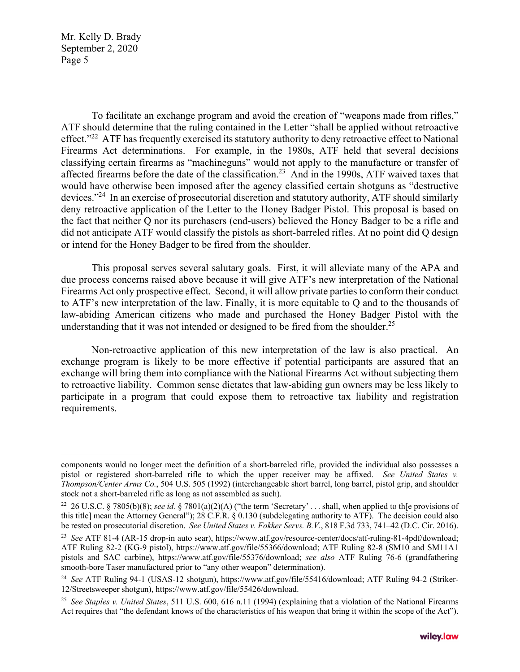To facilitate an exchange program and avoid the creation of "weapons made from rifles," ATF should determine that the ruling contained in the Letter "shall be applied without retroactive effect."<sup>22</sup> ATF has frequently exercised its statutory authority to deny retroactive effect to National Firearms Act determinations. For example, in the 1980s, ATF held that several decisions classifying certain firearms as "machineguns" would not apply to the manufacture or transfer of affected firearms before the date of the classification.<sup>23</sup> And in the 1990s, ATF waived taxes that would have otherwise been imposed after the agency classified certain shotguns as "destructive devices."24 In an exercise of prosecutorial discretion and statutory authority, ATF should similarly deny retroactive application of the Letter to the Honey Badger Pistol. This proposal is based on the fact that neither Q nor its purchasers (end-users) believed the Honey Badger to be a rifle and did not anticipate ATF would classify the pistols as short-barreled rifles. At no point did Q design or intend for the Honey Badger to be fired from the shoulder.

This proposal serves several salutary goals. First, it will alleviate many of the APA and due process concerns raised above because it will give ATF's new interpretation of the National Firearms Act only prospective effect. Second, it will allow private parties to conform their conduct to ATF's new interpretation of the law. Finally, it is more equitable to Q and to the thousands of law-abiding American citizens who made and purchased the Honey Badger Pistol with the understanding that it was not intended or designed to be fired from the shoulder.<sup>25</sup>

Non-retroactive application of this new interpretation of the law is also practical. An exchange program is likely to be more effective if potential participants are assured that an exchange will bring them into compliance with the National Firearms Act without subjecting them to retroactive liability. Common sense dictates that law-abiding gun owners may be less likely to participate in a program that could expose them to retroactive tax liability and registration requirements.

components would no longer meet the definition of a short-barreled rifle, provided the individual also possesses a pistol or registered short-barreled rifle to which the upper receiver may be affixed. *See United States v. Thompson/Center Arms Co.*, 504 U.S. 505 (1992) (interchangeable short barrel, long barrel, pistol grip, and shoulder stock not a short-barreled rifle as long as not assembled as such).

<sup>22 26</sup> U.S.C. § 7805(b)(8); *see id.* § 7801(a)(2)(A) ("the term 'Secretary' . . . shall, when applied to th[e provisions of this title] mean the Attorney General"); 28 C.F.R. § 0.130 (subdelegating authority to ATF). The decision could also be rested on prosecutorial discretion. *See United States v. Fokker Servs. B.V.*, 818 F.3d 733, 741–42 (D.C. Cir. 2016).

<sup>23</sup> *See* ATF 81-4 (AR-15 drop-in auto sear), https://www.atf.gov/resource-center/docs/atf-ruling-81-4pdf/download; ATF Ruling 82-2 (KG-9 pistol), https://www.atf.gov/file/55366/download; ATF Ruling 82-8 (SM10 and SM11A1 pistols and SAC carbine), https://www.atf.gov/file/55376/download; *see also* ATF Ruling 76-6 (grandfathering smooth-bore Taser manufactured prior to "any other weapon" determination).

<sup>24</sup> *See* ATF Ruling 94-1 (USAS-12 shotgun), https://www.atf.gov/file/55416/download; ATF Ruling 94-2 (Striker-12/Streetsweeper shotgun), https://www.atf.gov/file/55426/download.

<sup>25</sup> *See Staples v. United States*, 511 U.S. 600, 616 n.11 (1994) (explaining that a violation of the National Firearms Act requires that "the defendant knows of the characteristics of his weapon that bring it within the scope of the Act").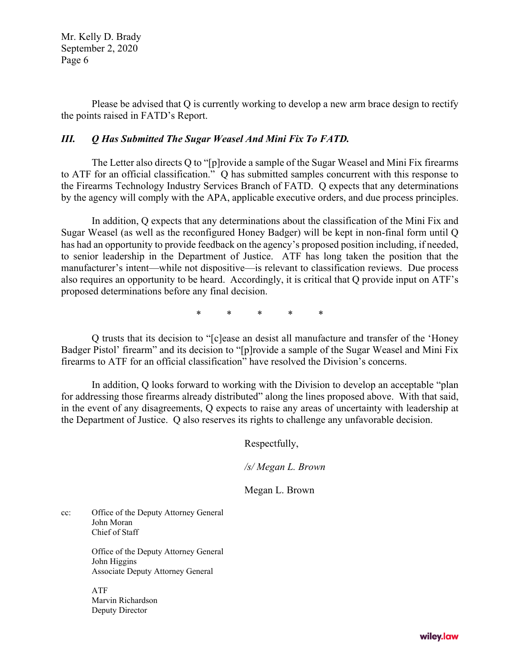Please be advised that Q is currently working to develop a new arm brace design to rectify the points raised in FATD's Report.

#### *III. Q Has Submitted The Sugar Weasel And Mini Fix To FATD.*

The Letter also directs Q to "[p]rovide a sample of the Sugar Weasel and Mini Fix firearms to ATF for an official classification." Q has submitted samples concurrent with this response to the Firearms Technology Industry Services Branch of FATD. Q expects that any determinations by the agency will comply with the APA, applicable executive orders, and due process principles.

In addition, Q expects that any determinations about the classification of the Mini Fix and Sugar Weasel (as well as the reconfigured Honey Badger) will be kept in non-final form until Q has had an opportunity to provide feedback on the agency's proposed position including, if needed, to senior leadership in the Department of Justice. ATF has long taken the position that the manufacturer's intent—while not dispositive—is relevant to classification reviews. Due process also requires an opportunity to be heard. Accordingly, it is critical that Q provide input on ATF's proposed determinations before any final decision.

\* \* \* \* \*

Q trusts that its decision to "[c]ease an desist all manufacture and transfer of the 'Honey Badger Pistol' firearm" and its decision to "[p]rovide a sample of the Sugar Weasel and Mini Fix firearms to ATF for an official classification" have resolved the Division's concerns.

In addition, Q looks forward to working with the Division to develop an acceptable "plan for addressing those firearms already distributed" along the lines proposed above. With that said, in the event of any disagreements, Q expects to raise any areas of uncertainty with leadership at the Department of Justice. Q also reserves its rights to challenge any unfavorable decision.

Respectfully,

*/s/ Megan L. Brown* 

Megan L. Brown

cc: Office of the Deputy Attorney General John Moran Chief of Staff

> Office of the Deputy Attorney General John Higgins Associate Deputy Attorney General

ATF Marvin Richardson Deputy Director